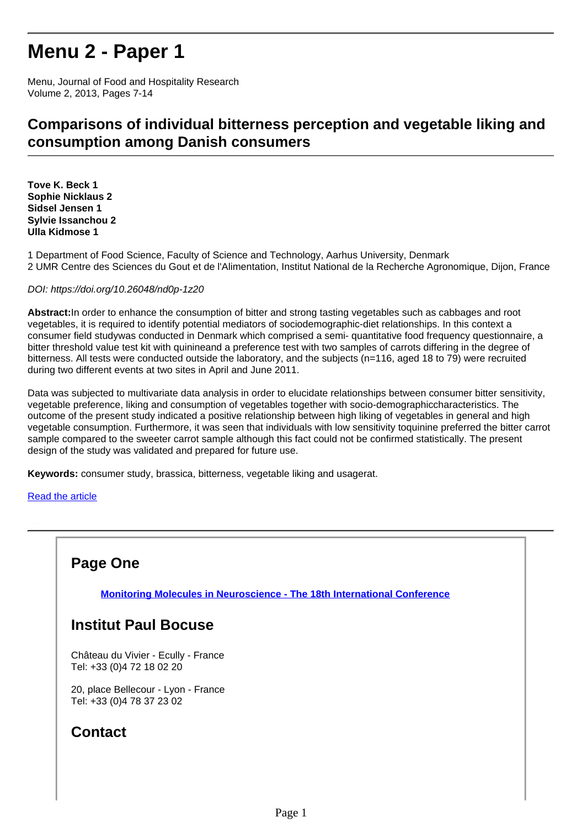# **Menu 2 - Paper 1**

Menu, Journal of Food and Hospitality Research Volume 2, 2013, Pages 7-14

### **Comparisons of individual bitterness perception and vegetable liking and consumption among Danish consumers**

**Tove K. Beck 1 Sophie Nicklaus 2 Sidsel Jensen 1 Sylvie Issanchou 2 Ulla Kidmose 1**

1 Department of Food Science, Faculty of Science and Technology, Aarhus University, Denmark 2 UMR Centre des Sciences du Gout et de l'Alimentation, Institut National de la Recherche Agronomique, Dijon, France

#### DOI: https://doi.org/10.26048/nd0p-1z20

**Abstract:**In order to enhance the consumption of bitter and strong tasting vegetables such as cabbages and root vegetables, it is required to identify potential mediators of sociodemographic-diet relationships. In this context a consumer field studywas conducted in Denmark which comprised a semi- quantitative food frequency questionnaire, a bitter threshold value test kit with quinineand a preference test with two samples of carrots differing in the degree of bitterness. All tests were conducted outside the laboratory, and the subjects (n=116, aged 18 to 79) were recruited during two different events at two sites in April and June 2011.

Data was subjected to multivariate data analysis in order to elucidate relationships between consumer bitter sensitivity, vegetable preference, liking and consumption of vegetables together with socio-demographiccharacteristics. The outcome of the present study indicated a positive relationship between high liking of vegetables in general and high vegetable consumption. Furthermore, it was seen that individuals with low sensitivity toquinine preferred the bitter carrot sample compared to the sweeter carrot sample although this fact could not be confirmed statistically. The present design of the study was validated and prepared for future use.

**Keywords:** consumer study, brassica, bitterness, vegetable liking and usagerat.

#### [Read the article](http://research.institutpaulbocuse.com/medias/fichier/beck-2013-menu-2_1604508530869-pdf?INLINE=FALSE)

#### **Page One**

**[Monitoring Molecules in Neuroscience - The 18th International Conference](http://recherche.institutpaulbocuse.com/fr/actualites/monitoring-molecules-in-neuroscience-the-18th-international-conference-16303.kjsp?RH=1551112870001)**

#### **Institut Paul Bocuse**

Château du Vivier - Ecully - France Tel: +33 (0)4 72 18 02 20

20, place Bellecour - Lyon - France Tel: +33 (0)4 78 37 23 02

### **Contact**